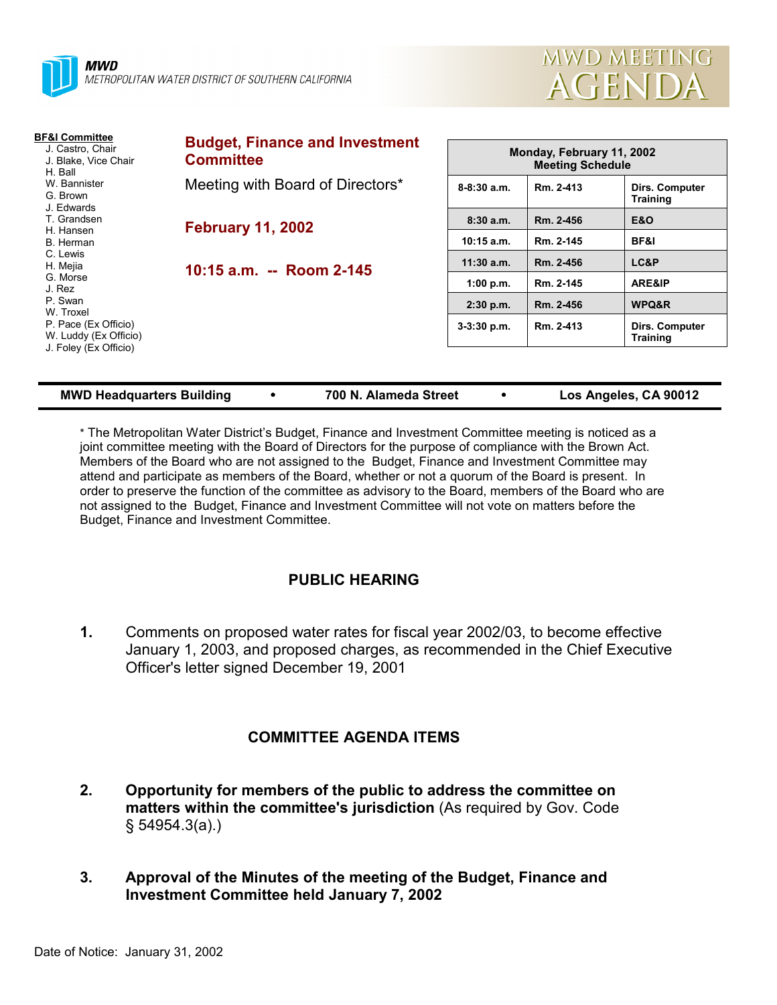



| <b>BF&amp;I Committee</b><br>J. Castro, Chair<br>J. Blake, Vice Chair<br>H. Ball<br>W. Bannister<br>G. Brown<br>J. Edwards<br>T. Grandsen<br>H. Hansen<br>B. Herman<br>C. Lewis<br>H. Mejia<br>G. Morse<br>J. Rez<br>P. Swan<br>W. Troxel<br>P. Pace (Ex Officio)<br>W. Luddy (Ex Officio)<br>J. Foley (Ex Officio) | <b>Budget, Finance and Investment</b><br><b>Committee</b> | Monday, February 11, 2002<br><b>Meeting Schedule</b> |           |                                   |  |
|---------------------------------------------------------------------------------------------------------------------------------------------------------------------------------------------------------------------------------------------------------------------------------------------------------------------|-----------------------------------------------------------|------------------------------------------------------|-----------|-----------------------------------|--|
|                                                                                                                                                                                                                                                                                                                     | Meeting with Board of Directors*                          | $8 - 8:30$ a.m.                                      | Rm. 2-413 | Dirs. Computer<br><b>Training</b> |  |
|                                                                                                                                                                                                                                                                                                                     | <b>February 11, 2002</b>                                  | 8:30a.m.                                             | Rm. 2-456 | <b>E&amp;O</b>                    |  |
|                                                                                                                                                                                                                                                                                                                     |                                                           | $10:15$ a.m.                                         | Rm. 2-145 | <b>BF&amp;I</b>                   |  |
|                                                                                                                                                                                                                                                                                                                     | 10:15 a.m. -- Room 2-145                                  | $11:30$ a.m.                                         | Rm. 2-456 | LC&P                              |  |
|                                                                                                                                                                                                                                                                                                                     |                                                           | 1:00 p.m.                                            | Rm. 2-145 | ARE&IP                            |  |
|                                                                                                                                                                                                                                                                                                                     |                                                           | $2:30$ p.m.                                          | Rm. 2-456 | WPQ&R                             |  |
|                                                                                                                                                                                                                                                                                                                     |                                                           | $3-3:30$ p.m.                                        | Rm. 2-413 | Dirs. Computer<br><b>Training</b> |  |
|                                                                                                                                                                                                                                                                                                                     |                                                           |                                                      |           |                                   |  |

| <b>MWD Headquarters Building</b> |  | 700 N. Alameda Street |  | Los Angeles, CA 90012 |
|----------------------------------|--|-----------------------|--|-----------------------|
|----------------------------------|--|-----------------------|--|-----------------------|

\* The Metropolitan Water District's Budget, Finance and Investment Committee meeting is noticed as a joint committee meeting with the Board of Directors for the purpose of compliance with the Brown Act. Members of the Board who are not assigned to the Budget, Finance and Investment Committee may attend and participate as members of the Board, whether or not a quorum of the Board is present. In order to preserve the function of the committee as advisory to the Board, members of the Board who are not assigned to the Budget, Finance and Investment Committee will not vote on matters before the Budget, Finance and Investment Committee.

# **PUBLIC HEARING**

**1.** Comments on proposed water rates for fiscal year 2002/03, to become effective January 1, 2003, and proposed charges, as recommended in the Chief Executive Officer's letter signed December 19, 2001

# **COMMITTEE AGENDA ITEMS**

- **2. Opportunity for members of the public to address the committee on matters within the committee's jurisdiction** (As required by Gov. Code § 54954.3(a).)
- **3. Approval of the Minutes of the meeting of the Budget, Finance and Investment Committee held January 7, 2002**